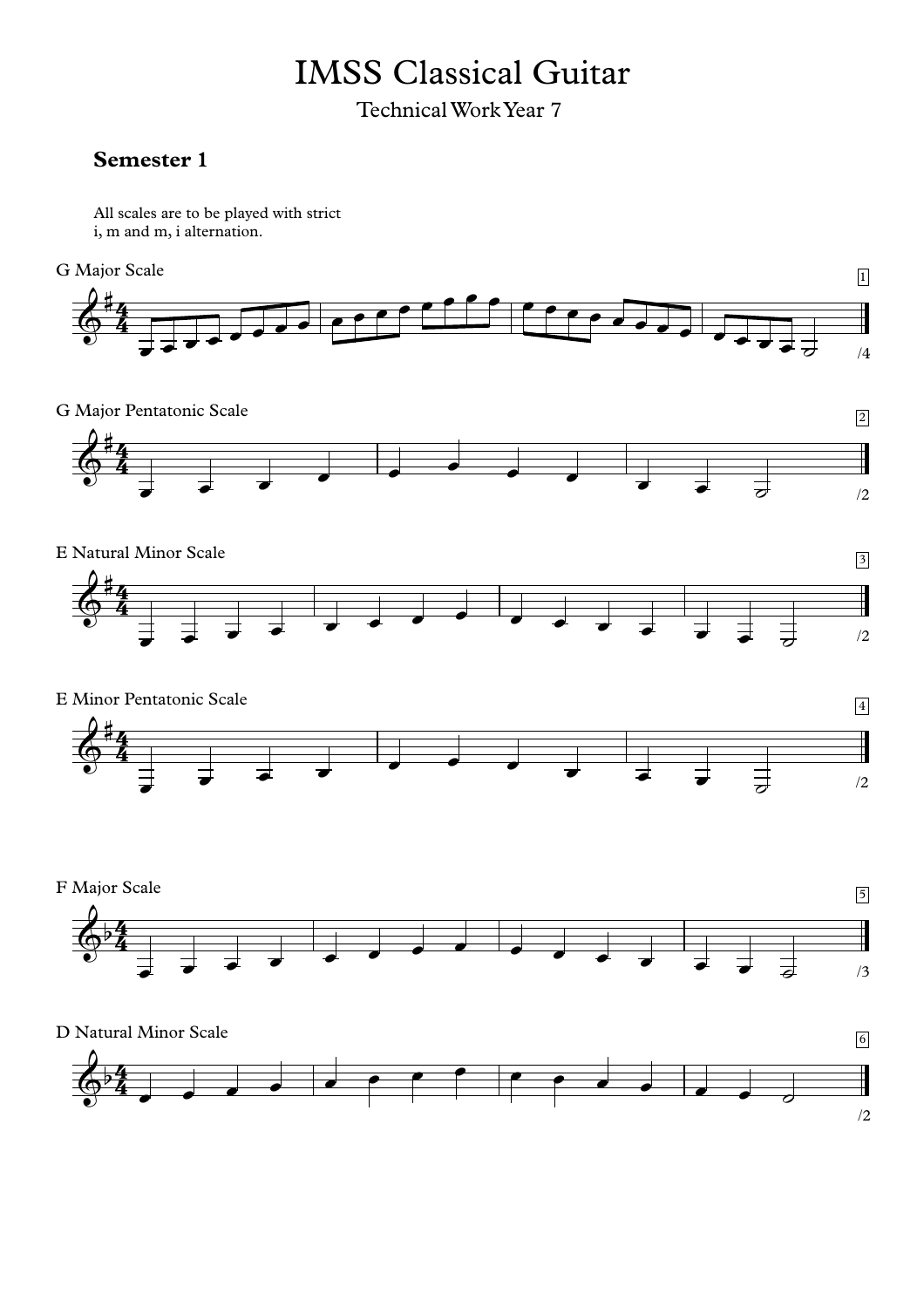## IMSS Classical Guitar

Technical Work Year 7

## **Semester 1**

All scales are to be played with strict i, m and m, i alternation.



G Major Pentatonic Scale 22







F Major Scale  $\overline{5}$ 4  $\mathbf{H}$  $\overline{\overline{3}}$  $\frac{4}{4}$ <sup>œ</sup> <sup>œ</sup> <sup>œ</sup> <sup>œ</sup> <sup>œ</sup> <sup>œ</sup> <sup>œ</sup> <sup>œ</sup> <sup>œ</sup> <sup>œ</sup> <sup>œ</sup> <sup>œ</sup> <sup>œ</sup> <sup>œ</sup> ˙ /3